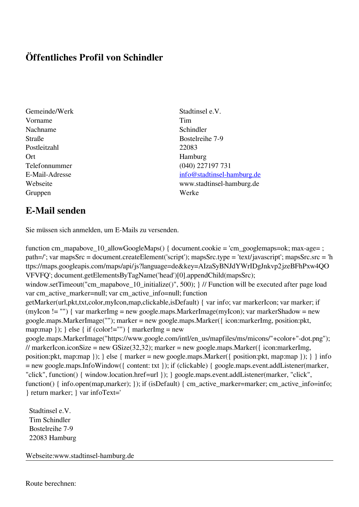## **Öffentliches Profil von Schindler**

- Gemeinde/Werk Stadtinsel e.V. Vorname Tim Nachname Schindler Straße Bostelreihe 7-9 Postleitzahl 22083 Ort Hamburg Gruppen Werke
- Telefonnummer (040) 227197 731 E-Mail-Adresse [info@stadtinsel-hamburg.de](mailto:info@stadtinsel-hamburg.de) Webseite www.stadtinsel-hamburg.de

## **E-Mail senden**

Sie müssen sich anmelden, um E-Mails zu versenden.

function cm\_mapabove\_10\_allowGoogleMaps() { document.cookie = 'cm\_googlemaps=ok; max-age= ; path=/'; var mapsSrc = document.createElement('script'); mapsSrc.type = 'text/javascript'; mapsSrc.src = 'h ttps://maps.googleapis.com/maps/api/js?language=de&key=AIzaSyBNJdYWrIDgJnkvp2jzeBFhPxw4QO VFVFQ'; document.getElementsByTagName('head')[0].appendChild(mapsSrc); window.setTimeout("cm\_mapabove\_10\_initialize()", 500); } // Function will be executed after page load var cm\_active\_marker=null; var cm\_active\_info=null; function getMarker(url,pkt,txt,color,myIcon,map,clickable,isDefault) { var info; var markerIcon; var marker; if (myIcon != "") { var markerImg = new google.maps.MarkerImage(myIcon); var markerShadow = new google.maps.MarkerImage(""); marker = new google.maps.Marker({ icon:markerImg, position:pkt, map:map  $\}$ ;  $\}$  else  $\{$  if (color!="")  $\{$  markerImg = new google.maps.MarkerImage("https://www.google.com/intl/en\_us/mapfiles/ms/micons/"+color+"-dot.png"); // markerIcon.iconSize = new GSize(32,32); marker = new google.maps.Marker({ $i$ con:markerImg, position:pkt, map:map }); } else { marker = new google.maps.Marker({ position:pkt, map:map }); } } info = new google.maps.InfoWindow({ content: txt }); if (clickable) { google.maps.event.addListener(marker, "click", function() { window.location.href=url }); } google.maps.event.addListener(marker, "click", function() { info.open(map,marker); }); if (isDefault) { cm\_active\_marker=marker; cm\_active\_info=info; } return marker; } var infoText='

 Stadtinsel e.V. Tim Schindler Bostelreihe 7-9 22083 Hamburg

Webseite:www.stadtinsel-hamburg.de